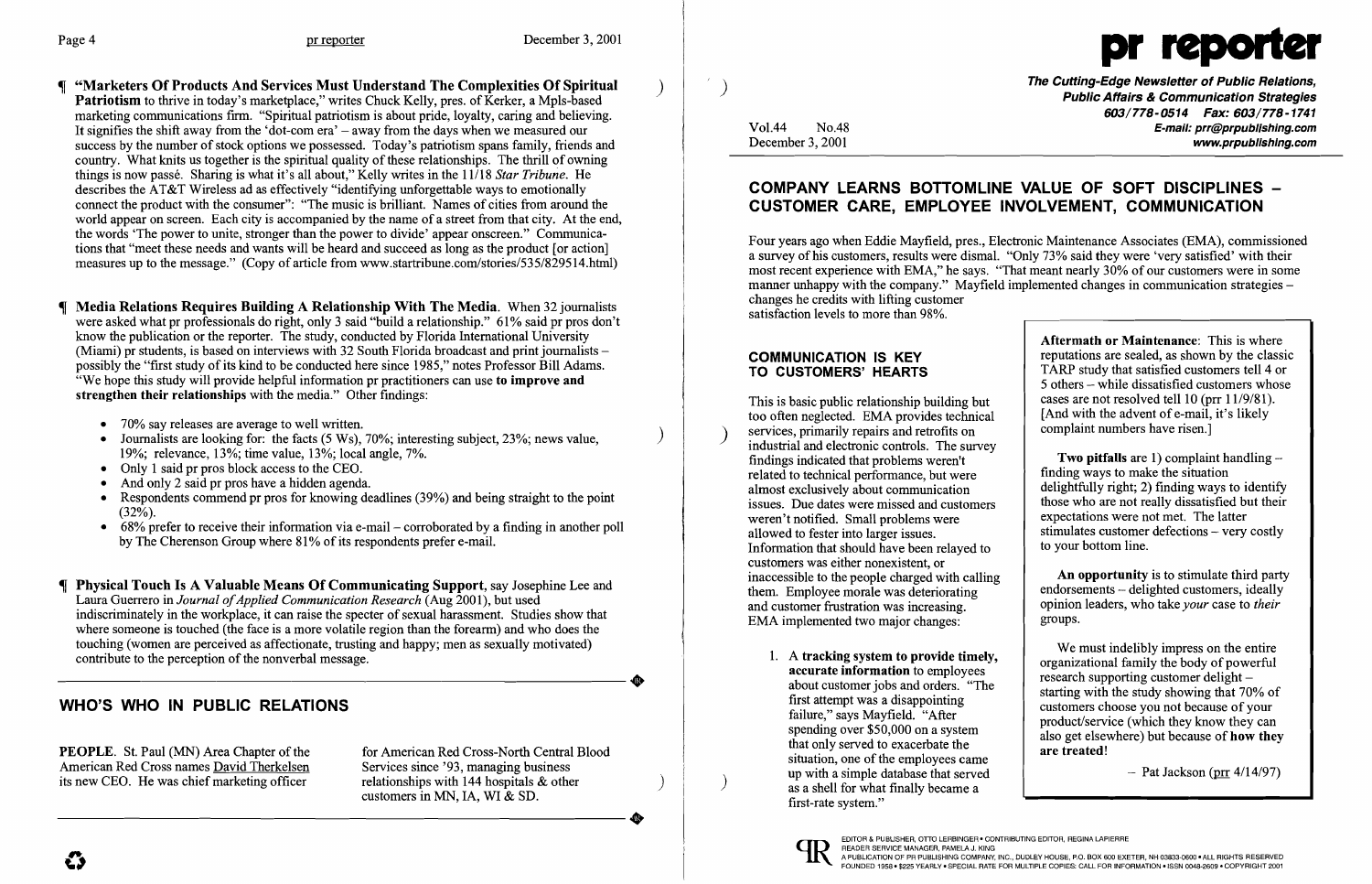"Marketers Of Products And Services Must Understand The Complexities Of Spiritual ) Patriotism to thrive in today's marketplace," writes Chuck Kelly, pres. of Kerker, a Mpls-based marketing communications firm. "Spiritual patriotism is about pride, loyalty, caring and believing. It signifies the shift away from the 'dot-com era' - away from the days when we measured our success by the number of stock options we possessed. Today's patriotism spans family, friends and country. What knits us together is the spiritual quality of these relationships. The thrill of owning things is now passe. Sharing is what it's all about," Kelly writes in the 11/18 *Star Tribune.* He describes the AT&T Wireless ad as effectively "identifying unforgettable ways to emotionally connect the product with the consumer": "The music is brilliant. Names of cities from around the world appear on screen. Each city is accompanied by the name of a street from that city. At the end, the words 'The power to unite, stronger than the power to divide' appear onscreen." Communications that "meet these needs and wants will be heard and succeed as long as the product [or action] measures up to the message." (Copy of article from www.startribune.com/stories/535/8295l4.html)

- 70% say releases are average to well written.
- Journalists are looking for: the facts  $(5 \text{ Ws})$ ,  $70\%$ ; interesting subject,  $23\%$ ; news value, 19%; relevance, 13%; time value, 13%; local angle, 7%.
- Only 1 said pr pros block access to the CEO.
- And only 2 said pr pros have a hidden agenda.
- Respondents commend pr pros for knowing deadlines (39%) and being straight to the point  $(32\sqrt{6})$ .
- $\bullet$  68% prefer to receive their information via e-mail corroborated by a finding in another poll by The Cherenson Group where 81% of its respondents prefer e-mail.
- Physical Touch Is A Valuable Means Of Communicating Support, say Josephine Lee and Laura Guerrero in *Journal of Applied Communication Research* (Aug 2001), but used indiscriminately in the workplace, it can raise the specter of sexual harassment. Studies show that where someone is touched (the face is a more volatile region than the forearm) and who does the touching (women are perceived as affectionate, trusting and happy; men as sexually motivated)<br>
contribute to the perception of the nonverbal message. contribute to the perception of the nonverbal message.

 Media Relations Requires Building A Relationship With The Media. When 32 journalists were asked what pr professionals do right, only 3 said "build a relationship." 61% said pr pros don't know the publication or the reporter. The study, conducted by Florida International University (Miami) pr students, is based on interviews with 32 South Florida broadcast and print journalists – possibly the "first study of its kind to be conducted here since 1985," notes Professor Bill Adams. "We hope this study will provide helpful information pr practitioners can use to **improve and** strengthen their relationships with the media." Other findings:

customers in MN, lA, WI & SD. its new CEO. He was chief marketing officer relationships with 144 hospitals & other customers in MN, IA, WI & SD.

/ Public Affairs & Communication Strategies *603/778-0514 Fax: 603/778-1741*  Vol.44 No.48 E-mail: prr@prpublishing.com December 3, 2001 and the state of the state of the state of the state of the state of the state of the state of the state of the state of the state of the state of the state of the state of the state of the state of the st

Aftermath or Maintenance: This is where **COMMUNICATION IS KEY** reputations are sealed, as shown by the classic<br> **TO CUSTOMERS' HEARTS** TARP study that satisfied customers tell 4 or TARP study that satisfied customers tell 4 or 5 others – while dissatisfied customers whose<br>cases are not resolved tell 10 ( $\text{prr}$  11/9/81). [And with the advent of e-mail, it's likely<br>complaint numbers have risen.]

> Two pitfalls are 1) complaint handling  $-$  finding ways to make the situation delightfully right; 2) finding ways to identify<br>those who are not really dissatisfied but their expectations were not met. The latter stimulates customer defections - very costly<br>to your bottom line.

1. A tracking system to provide timely,<br>
acurate information to employees<br>
about customer jobs and orders. "The<br>
first attempt was a disappointing<br>
failure," says Mayfield. "After<br>
spending over \$50,000 on a system<br>
that o

# WHO'S WHO IN PUBLIC RELATIONS

**PEOPLE.** St. Paul (MN) Area Chapter of the for American Red Cross-North Central Blood American Red Cross names David Therkelsen Services since '93, managing business its new CEO. He was chief marketing officer relationships with 144 hospitals  $\&$  other

- This is basic public relationship building but cases are not resolved tell 10 (prr  $11/9/81$ ). too often neglected. EMA provides technical ) services, primarily repairs and retrofits on  $\left\{\right.$  complaint numbers have risen.] findings indicated that problems weren't related to technical performance, but were almost exclusively about communication issues. Due dates were missed and customers. weren't notified. Small problems were<br>allowed to fester into larger issues. Information that should have been relayed to customers was either nonexistent, or inaccessible to the people charged with calling **An opportunity** is to stimulate third party<br>them Employee morale was deteriorating dendorsements – delighted customers, ideally them. Employee morale was deteriorating and customer frustration was increasing.<br>
FMA implemented two major changes:<br>
<u>EMA</u> implemented two major changes:<br> **EMA** implemented two major changes: EMA implemented two major changes:
- up with a simple database that served  $\frac{1}{2}$  as a shell for what finally became a first-rate system."





## COMPANY LEARNS BOTTOMLINE VALUE OF SOFT DISCIPLINES CUSTOMER CARE, EMPLOYEE INVOLVEMENT, COMMUNICATION

Four years ago when Eddie Mayfield, pres., Electronic Maintenance Associates (EMA), commissioned a survey of his customers, results were dismal. "Only 73% said they were 'very satisfied' with their most recent experience with EMA," he says. "That meant nearly 30% of our customers were in some manner unhappy with the company." Mayfield implemented changes in communication strategies – changes he credits with lifting customer satisfaction levels to more than 98%.